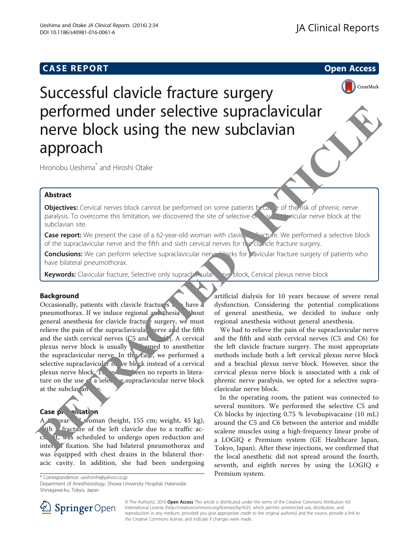## **CASE REPORT CASE REPORT CASE REPORT**



Successful clavicle fracture surgery performed under selective supraclavicular nerve block using the new subclavian approach

Hironobu Ueshima\* and Hiroshi Otake

## Abstract

Objectives: Cervical nerves block cannot be performed on some patients because of the risk of phrenic nerve paralysis. To overcome this limitation, we discovered the site of selective only superiorization nerve block at the subclavian site.

Case report: We present the case of a 62-year-old woman with clavic **Fracture.** We performed a selective block of the supraclavicular nerve and the fifth and sixth cervical nerves for the clavicle fracture surgery.

Conclusions: We can perform selective supraclavicular nerver blocks for vavicular fracture surgery of patients who have bilateral pneumothorax.

Keywords: Clavicular fracture, Selective only suprack neular and block, Cervical plexus nerve block

### Background

Occasionally, patients with clavicle fractures also have a pneumothorax. If we induce regional and thesia whout general anesthesia for clavicle fracture surgery, we must relieve the pain of the supraclavicular nerve and the fifth and the sixth cervical nerves  $(C5 \text{ and } C5)$ . A cervical plexus nerve block is usually  $\rho$  and to anesthetize the supraclavicular nerve. In this case, we performed a selective supraclavicular never block instead of a cervical plexus nerve block. The **have been no reports in litera**ture on the use of a selective supraclavicular nerve block at the subclay an **PERFORMED UNITED SUPPREND SUPPREND SUPPREND ARTI[C](#page-2-0)LE IN THE CAR CONDUCT CONDUCTS (Serveral methods and the sind conduction and the sind conduction and the sind conduction and the sind conduction and the sind conduction and** 

## Case presentation

vear-old woman (height, 155 cm; weight, 45 kg), ith fracture of the left clavicle due to a traffic acche it, was scheduled to undergo open reduction and inter. *Y* fixation. She had bilateral pneumothorax and was equipped with chest drains in the bilateral thoracic cavity. In addition, she had been undergoing

artificial dialysis for 10 years because of severe renal dysfunction. Considering the potential complications of general anesthesia, we decided to induce only regional anesthesia without general anesthesia.

We had to relieve the pain of the supraclavicular nerve and the fifth and sixth cervical nerves (C5 and C6) for the left clavicle fracture surgery. The most appropriate methods include both a left cervical plexus nerve block and a brachial plexus nerve block. However, since the cervical plexus nerve block is associated with a risk of phrenic nerve paralysis, we opted for a selective supraclavicular nerve block.

In the operating room, the patient was connected to several monitors. We performed the selective C5 and C6 blocks by injecting 0.75 % levobupivacaine (10 mL) around the C5 and C6 between the anterior and middle scalene muscles using a high-frequency linear probe of a LOGIQ e Premium system (GE Healthcare Japan, Tokyo, Japan). After these injections, we confirmed that the local anesthetic did not spread around the fourth, seventh, and eighth nerves by using the LOGIQ e

Department of Anesthesiology, Showa University Hospital, Hatanodai Shinagawa-ku, Tokyo, Japan



© The Author(s). 2016 Open Access This article is distributed under the terms of the Creative Commons Attribution 4.0 International License ([http://creativecommons.org/licenses/by/4.0/\)](http://creativecommons.org/licenses/by/4.0/), which permits unrestricted use, distribution, and reproduction in any medium, provided you give appropriate credit to the original author(s) and the source, provide a link to the Creative Commons license, and indicate if changes were made.

Premium system. \* Correspondence: [ueshimhi@yahoo.co.jp](mailto:ueshimhi@yahoo.co.jp)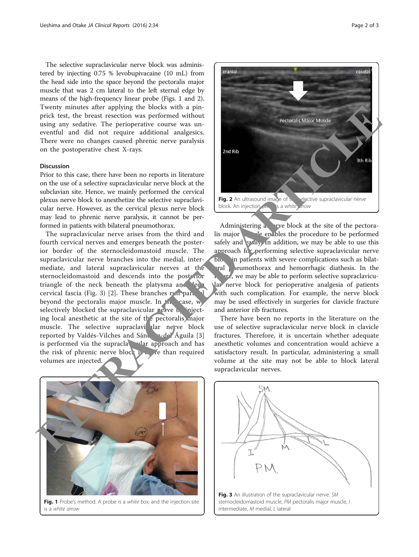The selective supraclavicular nerve block was administered by injecting 0.75 % levobupivacaine (10 mL) from the head side into the space beyond the pectoralis major muscle that was 2 cm lateral to the left sternal edge by means of the high-frequency linear probe (Figs. 1 and 2). Twenty minutes after applying the blocks with a pinprick test, the breast resection was performed without using any sedative. The perioperative course was uneventful and did not require additional analgesics. There were no changes caused phrenic nerve paralysis on the postoperative chest X-rays.

#### Discussion

Prior to this case, there have been no reports in literature on the use of a selective supraclavicular nerve block at the subclavian site. Hence, we mainly performed the cervical plexus nerve block to anesthetize the selective supraclavicular nerve. However, as the cervical plexus nerve block may lead to phrenic nerve paralysis, it cannot be performed in patients with bilateral pneumothorax.

The supraclavicular nerve arises from the third and fourth cervical nerves and emerges beneath the posterior border of the sternocleidomastoid muscle. The supraclavicular nerve branches into the medial, intermediate, and lateral supraclavicular nerves at the sternocleidomastoid and descends into the posterior triangle of the neck beneath the platysma and leep cervical fascia (Fig. 3) [2]. These branches run parallel beyond the pectoralis major muscle. In  $t_1$  case, we selectively blocked the supraclavicular nerve  $\mathbf{b}$  injecting local anesthetic at the site of the pectoralis major muscle. The selective supraclavi lar nerve block reported by Valdés-Vilches and Sánchez-de<sup>l</sup> Águila [3] is performed via the supraclay lar approach and has the risk of phrenic nerve block  $\mathbf{F}$  and required volumes are injected. The<br>main and the back with a pin-back with a pin-back with a pin-back with the street to perform of the properties control with<br>the control and did not require additional analogies.<br>
There were no change caused phenic neve



Administering a  $n$  rve block at the site of the pectoralis major **depending to the procedure to be performed** safely and easily. In addition, we may be able to use this approach for performing selective supraclavicular nerve block in patients with severe complications such as bilat- $\lceil \cdot \rceil$  pral permothorax and hemorrhagic diathesis. In the  $\mathbf{w}_e$ , we may be able to perform selective supraclavicular nerve block for perioperative analgesia of patients with such complication. For example, the nerve block may be used effectively in surgeries for clavicle fracture and anterior rib fractures.

There have been no reports in the literature on the use of selective supraclavicular nerve block in clavicle fractures. Therefore, it is uncertain whether adequate anesthetic volumes and concentration would achieve a satisfactory result. In particular, administering a small volume at the site may not be able to block lateral supraclavicular nerves.



Fig. 1 Probe's method. A probe is a white box, and the injection site is a white arrow